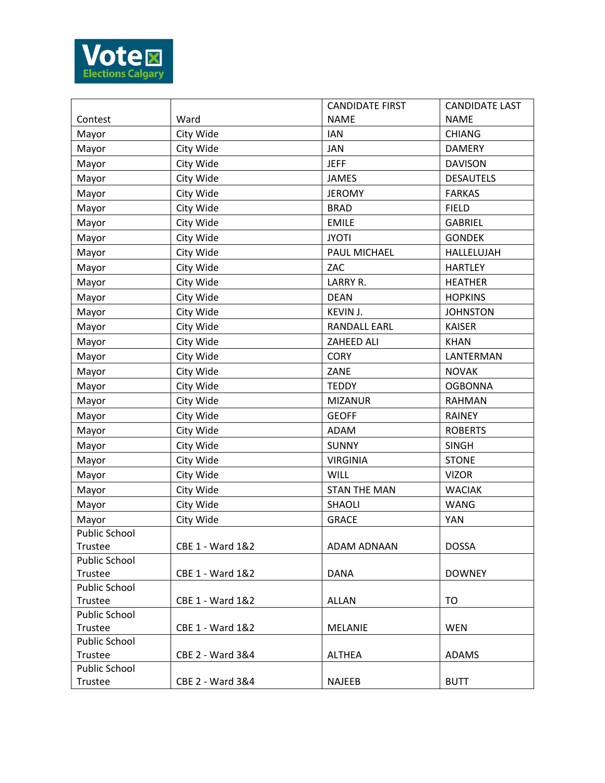

|                                 |                  | <b>CANDIDATE FIRST</b> | <b>CANDIDATE LAST</b> |
|---------------------------------|------------------|------------------------|-----------------------|
| Contest                         | Ward             | <b>NAME</b>            | <b>NAME</b>           |
| Mayor                           | City Wide        | <b>IAN</b>             | CHIANG                |
| Mayor                           | City Wide        | JAN                    | <b>DAMERY</b>         |
| Mayor                           | City Wide        | <b>JEFF</b>            | <b>DAVISON</b>        |
| Mayor                           | City Wide        | <b>JAMES</b>           | <b>DESAUTELS</b>      |
| Mayor                           | City Wide        | <b>JEROMY</b>          | <b>FARKAS</b>         |
| Mayor                           | City Wide        | <b>BRAD</b>            | <b>FIELD</b>          |
| Mayor                           | City Wide        | <b>EMILE</b>           | <b>GABRIEL</b>        |
| Mayor                           | City Wide        | <b>JYOTI</b>           | <b>GONDEK</b>         |
| Mayor                           | City Wide        | PAUL MICHAEL           | HALLELUJAH            |
| Mayor                           | City Wide        | ZAC                    | <b>HARTLEY</b>        |
| Mayor                           | City Wide        | LARRY R.               | <b>HEATHER</b>        |
| Mayor                           | City Wide        | <b>DEAN</b>            | <b>HOPKINS</b>        |
| Mayor                           | City Wide        | KEVIN J.               | <b>JOHNSTON</b>       |
| Mayor                           | City Wide        | <b>RANDALL EARL</b>    | <b>KAISER</b>         |
| Mayor                           | City Wide        | ZAHEED ALI             | <b>KHAN</b>           |
| Mayor                           | City Wide        | <b>CORY</b>            | LANTERMAN             |
| Mayor                           | City Wide        | ZANE                   | <b>NOVAK</b>          |
| Mayor                           | City Wide        | <b>TEDDY</b>           | <b>OGBONNA</b>        |
| Mayor                           | City Wide        | <b>MIZANUR</b>         | <b>RAHMAN</b>         |
| Mayor                           | City Wide        | <b>GEOFF</b>           | <b>RAINEY</b>         |
| Mayor                           | City Wide        | <b>ADAM</b>            | <b>ROBERTS</b>        |
| Mayor                           | City Wide        | <b>SUNNY</b>           | <b>SINGH</b>          |
| Mayor                           | City Wide        | <b>VIRGINIA</b>        | <b>STONE</b>          |
| Mayor                           | City Wide        | <b>WILL</b>            | <b>VIZOR</b>          |
| Mayor                           | City Wide        | <b>STAN THE MAN</b>    | <b>WACIAK</b>         |
| Mayor                           | City Wide        | SHAOLI                 | <b>WANG</b>           |
| Mayor                           | City Wide        | <b>GRACE</b>           | <b>YAN</b>            |
| <b>Public School</b>            |                  |                        |                       |
| Trustee                         | CBE 1 - Ward 1&2 | ADAM ADNAAN            | <b>DOSSA</b>          |
| Public School                   |                  |                        |                       |
| Trustee                         | CBE 1 - Ward 1&2 | <b>DANA</b>            | <b>DOWNEY</b>         |
| <b>Public School</b>            |                  |                        |                       |
| Trustee<br><b>Public School</b> | CBE 1 - Ward 1&2 | <b>ALLAN</b>           | TO                    |
| Trustee                         | CBE 1 - Ward 1&2 | <b>MELANIE</b>         | <b>WEN</b>            |
| <b>Public School</b>            |                  |                        |                       |
| Trustee                         | CBE 2 - Ward 3&4 | <b>ALTHEA</b>          | <b>ADAMS</b>          |
| Public School                   |                  |                        |                       |
| Trustee                         | CBE 2 - Ward 3&4 | <b>NAJEEB</b>          | <b>BUTT</b>           |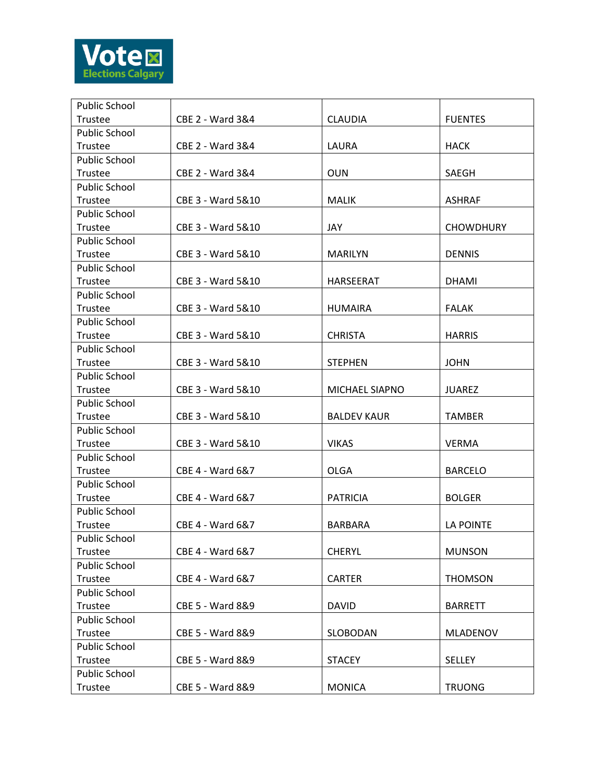

| <b>Public School</b> |                   |                    |                  |
|----------------------|-------------------|--------------------|------------------|
| Trustee              | CBE 2 - Ward 3&4  | <b>CLAUDIA</b>     | <b>FUENTES</b>   |
| <b>Public School</b> |                   |                    |                  |
| Trustee              | CBE 2 - Ward 3&4  | LAURA              | <b>HACK</b>      |
| Public School        |                   |                    |                  |
| Trustee              | CBE 2 - Ward 3&4  | <b>OUN</b>         | SAEGH            |
| <b>Public School</b> |                   |                    |                  |
| Trustee              | CBE 3 - Ward 5&10 | <b>MALIK</b>       | <b>ASHRAF</b>    |
| <b>Public School</b> |                   |                    |                  |
| Trustee              | CBE 3 - Ward 5&10 | <b>JAY</b>         | <b>CHOWDHURY</b> |
| <b>Public School</b> |                   |                    |                  |
| Trustee              | CBE 3 - Ward 5&10 | <b>MARILYN</b>     | <b>DENNIS</b>    |
| Public School        |                   |                    |                  |
| Trustee              | CBE 3 - Ward 5&10 | HARSEERAT          | <b>DHAMI</b>     |
| <b>Public School</b> |                   |                    |                  |
| <b>Trustee</b>       | CBE 3 - Ward 5&10 | <b>HUMAIRA</b>     | <b>FALAK</b>     |
| <b>Public School</b> |                   |                    |                  |
| Trustee              | CBE 3 - Ward 5&10 | <b>CHRISTA</b>     | <b>HARRIS</b>    |
| <b>Public School</b> |                   |                    |                  |
| Trustee              | CBE 3 - Ward 5&10 | <b>STEPHEN</b>     | <b>JOHN</b>      |
| <b>Public School</b> |                   |                    |                  |
| Trustee              | CBE 3 - Ward 5&10 | MICHAEL SIAPNO     | <b>JUAREZ</b>    |
| Public School        |                   |                    |                  |
| Trustee              | CBE 3 - Ward 5&10 | <b>BALDEV KAUR</b> | <b>TAMBER</b>    |
| <b>Public School</b> |                   |                    |                  |
| Trustee              | CBE 3 - Ward 5&10 | <b>VIKAS</b>       | <b>VERMA</b>     |
| <b>Public School</b> |                   |                    |                  |
| Trustee              | CBE 4 - Ward 6&7  | <b>OLGA</b>        | <b>BARCELO</b>   |
| <b>Public School</b> |                   |                    |                  |
| Trustee              | CBE 4 - Ward 6&7  | <b>PATRICIA</b>    | <b>BOLGER</b>    |
| Public School        |                   |                    |                  |
| <b>Trustee</b>       | CBE 4 - Ward 6&7  | <b>BARBARA</b>     | LA POINTE        |
| <b>Public School</b> |                   |                    |                  |
| Trustee              | CBE 4 - Ward 6&7  | <b>CHERYL</b>      | <b>MUNSON</b>    |
| Public School        |                   |                    |                  |
| Trustee              | CBE 4 - Ward 6&7  | <b>CARTER</b>      | <b>THOMSON</b>   |
| <b>Public School</b> |                   |                    |                  |
| Trustee              | CBE 5 - Ward 8&9  | <b>DAVID</b>       | <b>BARRETT</b>   |
| <b>Public School</b> |                   |                    |                  |
| Trustee              | CBE 5 - Ward 8&9  | SLOBODAN           | <b>MLADENOV</b>  |
| Public School        |                   |                    |                  |
| Trustee              | CBE 5 - Ward 8&9  | <b>STACEY</b>      | <b>SELLEY</b>    |
| <b>Public School</b> |                   |                    |                  |
| Trustee              | CBE 5 - Ward 8&9  | <b>MONICA</b>      | <b>TRUONG</b>    |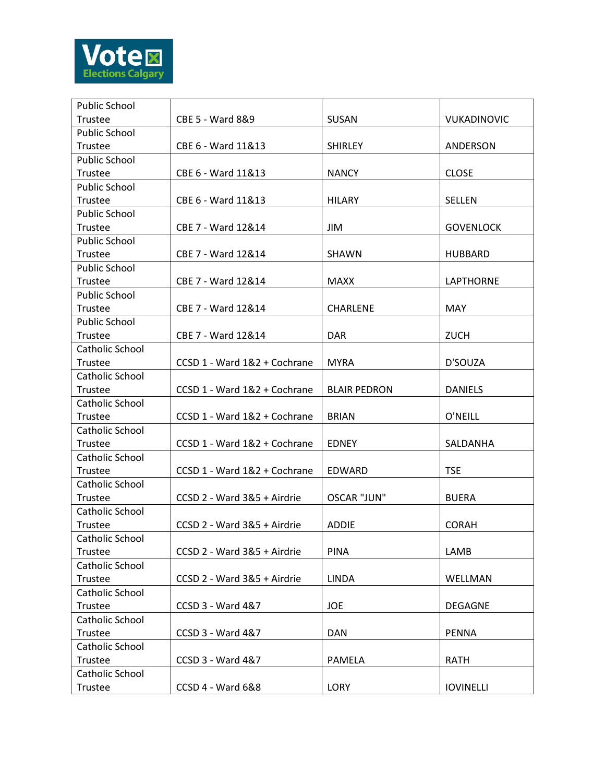

| Public School        |                              |                     |                    |
|----------------------|------------------------------|---------------------|--------------------|
| Trustee              | CBE 5 - Ward 8&9             | SUSAN               | <b>VUKADINOVIC</b> |
| <b>Public School</b> |                              |                     |                    |
| Trustee              | CBE 6 - Ward 11&13           | <b>SHIRLEY</b>      | ANDERSON           |
| <b>Public School</b> |                              |                     |                    |
| Trustee              | CBE 6 - Ward 11&13           | <b>NANCY</b>        | <b>CLOSE</b>       |
| <b>Public School</b> |                              |                     |                    |
| Trustee              | CBE 6 - Ward 11&13           | <b>HILARY</b>       | <b>SELLEN</b>      |
| <b>Public School</b> |                              |                     |                    |
| Trustee              | CBE 7 - Ward 12&14           | JIM                 | <b>GOVENLOCK</b>   |
| <b>Public School</b> |                              |                     |                    |
| Trustee              | CBE 7 - Ward 12&14           | SHAWN               | HUBBARD            |
| <b>Public School</b> |                              |                     |                    |
| Trustee              | CBE 7 - Ward 12&14           | <b>MAXX</b>         | <b>LAPTHORNE</b>   |
| <b>Public School</b> |                              |                     |                    |
| Trustee              | CBE 7 - Ward 12&14           | <b>CHARLENE</b>     | <b>MAY</b>         |
| <b>Public School</b> |                              |                     |                    |
| Trustee              | CBE 7 - Ward 12&14           | <b>DAR</b>          | <b>ZUCH</b>        |
| Catholic School      |                              |                     |                    |
| Trustee              | CCSD 1 - Ward 1&2 + Cochrane | <b>MYRA</b>         | D'SOUZA            |
| Catholic School      |                              |                     |                    |
| Trustee              | CCSD 1 - Ward 1&2 + Cochrane | <b>BLAIR PEDRON</b> | <b>DANIELS</b>     |
| Catholic School      |                              |                     |                    |
| Trustee              | CCSD 1 - Ward 1&2 + Cochrane | <b>BRIAN</b>        | O'NEILL            |
| Catholic School      |                              |                     |                    |
| Trustee              | CCSD 1 - Ward 1&2 + Cochrane | <b>EDNEY</b>        | SALDANHA           |
| Catholic School      |                              |                     |                    |
| Trustee              | CCSD 1 - Ward 1&2 + Cochrane | <b>EDWARD</b>       | <b>TSE</b>         |
| Catholic School      |                              |                     |                    |
| Trustee              | CCSD 2 - Ward 3&5 + Airdrie  | <b>OSCAR "JUN"</b>  | <b>BUERA</b>       |
| Catholic School      |                              |                     |                    |
| Trustee              | CCSD 2 - Ward 3&5 + Airdrie  | <b>ADDIE</b>        | <b>CORAH</b>       |
| Catholic School      |                              |                     |                    |
| Trustee              | CCSD 2 - Ward 3&5 + Airdrie  | <b>PINA</b>         | LAMB               |
| Catholic School      |                              |                     |                    |
| Trustee              | CCSD 2 - Ward 3&5 + Airdrie  | <b>LINDA</b>        | WELLMAN            |
| Catholic School      |                              |                     |                    |
| Trustee              | <b>CCSD 3 - Ward 4&amp;7</b> | <b>JOE</b>          | <b>DEGAGNE</b>     |
| Catholic School      |                              |                     |                    |
| Trustee              | <b>CCSD 3 - Ward 4&amp;7</b> | <b>DAN</b>          | <b>PENNA</b>       |
| Catholic School      |                              |                     |                    |
| Trustee              | <b>CCSD 3 - Ward 4&amp;7</b> | PAMELA              | <b>RATH</b>        |
| Catholic School      |                              |                     |                    |
| Trustee              | <b>CCSD 4 - Ward 6&amp;8</b> | LORY                | <b>IOVINELLI</b>   |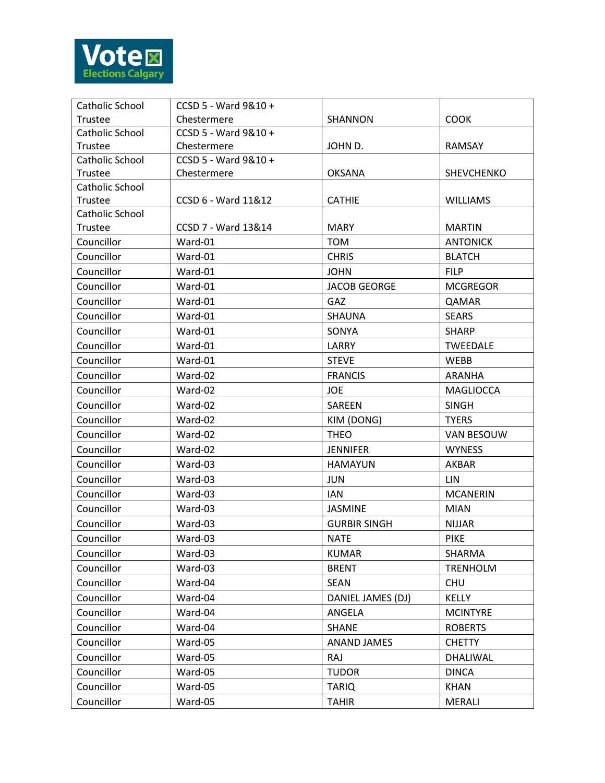

| Catholic School | CCSD 5 - Ward 9&10 + |                     |                   |
|-----------------|----------------------|---------------------|-------------------|
| Trustee         | Chestermere          | SHANNON             | <b>COOK</b>       |
| Catholic School | CCSD 5 - Ward 9&10 + |                     |                   |
| Trustee         | Chestermere          | JOHN D.             | <b>RAMSAY</b>     |
| Catholic School | CCSD 5 - Ward 9&10 + |                     |                   |
| Trustee         | Chestermere          | <b>OKSANA</b>       | <b>SHEVCHENKO</b> |
| Catholic School |                      |                     |                   |
| Trustee         | CCSD 6 - Ward 11&12  | <b>CATHIE</b>       | <b>WILLIAMS</b>   |
| Catholic School | CCSD 7 - Ward 13&14  |                     |                   |
| Trustee         |                      | <b>MARY</b>         | <b>MARTIN</b>     |
| Councillor      | Ward-01              | <b>TOM</b>          | <b>ANTONICK</b>   |
| Councillor      | Ward-01              | <b>CHRIS</b>        | <b>BLATCH</b>     |
| Councillor      | Ward-01              | <b>JOHN</b>         | <b>FILP</b>       |
| Councillor      | Ward-01              | <b>JACOB GEORGE</b> | <b>MCGREGOR</b>   |
| Councillor      | Ward-01              | <b>GAZ</b>          | QAMAR             |
| Councillor      | Ward-01              | <b>SHAUNA</b>       | <b>SEARS</b>      |
| Councillor      | Ward-01              | SONYA               | <b>SHARP</b>      |
| Councillor      | Ward-01              | LARRY               | TWEEDALE          |
| Councillor      | Ward-01              | <b>STEVE</b>        | <b>WEBB</b>       |
| Councillor      | Ward-02              | <b>FRANCIS</b>      | ARANHA            |
| Councillor      | Ward-02              | <b>JOE</b>          | <b>MAGLIOCCA</b>  |
| Councillor      | Ward-02              | SAREEN              | <b>SINGH</b>      |
| Councillor      | Ward-02              | KIM (DONG)          | <b>TYERS</b>      |
| Councillor      | Ward-02              | <b>THEO</b>         | VAN BESOUW        |
| Councillor      | Ward-02              | <b>JENNIFER</b>     | <b>WYNESS</b>     |
| Councillor      | Ward-03              | <b>HAMAYUN</b>      | AKBAR             |
| Councillor      | Ward-03              | <b>JUN</b>          | LIN               |
| Councillor      | Ward-03              | <b>IAN</b>          | <b>MCANERIN</b>   |
| Councillor      | Ward-03              | <b>JASMINE</b>      | <b>MIAN</b>       |
| Councillor      | Ward-03              | <b>GURBIR SINGH</b> | <b>NIJJAR</b>     |
| Councillor      | Ward-03              | <b>NATE</b>         | <b>PIKE</b>       |
| Councillor      | Ward-03              | <b>KUMAR</b>        | SHARMA            |
| Councillor      | Ward-03              | <b>BRENT</b>        | <b>TRENHOLM</b>   |
| Councillor      | Ward-04              | <b>SEAN</b>         | CHU               |
| Councillor      | Ward-04              | DANIEL JAMES (DJ)   | <b>KELLY</b>      |
| Councillor      | Ward-04              | ANGELA              | <b>MCINTYRE</b>   |
| Councillor      | Ward-04              | <b>SHANE</b>        | <b>ROBERTS</b>    |
| Councillor      | Ward-05              | <b>ANAND JAMES</b>  | <b>CHETTY</b>     |
| Councillor      | Ward-05              | <b>RAJ</b>          | DHALIWAL          |
| Councillor      | Ward-05              | <b>TUDOR</b>        | <b>DINCA</b>      |
| Councillor      | Ward-05              | <b>TARIQ</b>        | <b>KHAN</b>       |
| Councillor      | Ward-05              | <b>TAHIR</b>        | MERALI            |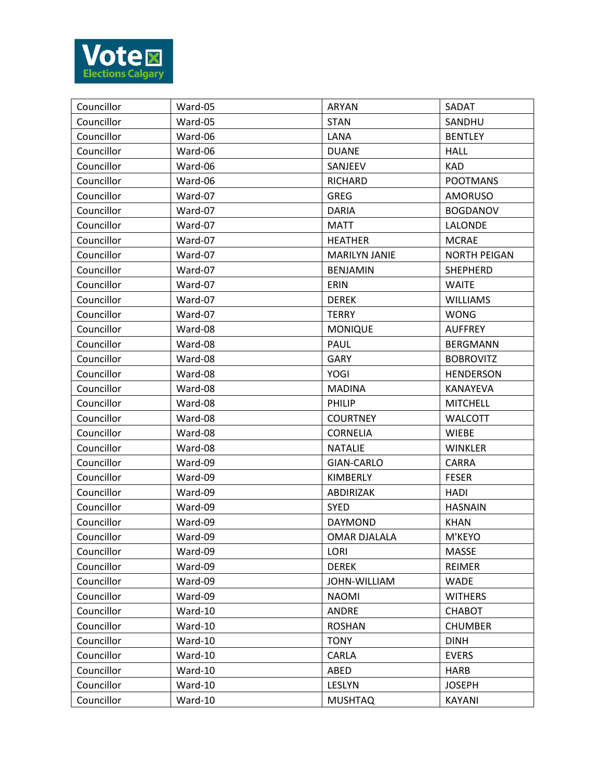

| Councillor | Ward-05 | <b>ARYAN</b>         | SADAT               |
|------------|---------|----------------------|---------------------|
| Councillor | Ward-05 | <b>STAN</b>          | SANDHU              |
| Councillor | Ward-06 | LANA                 | <b>BENTLEY</b>      |
| Councillor | Ward-06 | <b>DUANE</b>         | <b>HALL</b>         |
| Councillor | Ward-06 | SANJEEV              | <b>KAD</b>          |
| Councillor | Ward-06 | RICHARD              | <b>POOTMANS</b>     |
| Councillor | Ward-07 | <b>GREG</b>          | <b>AMORUSO</b>      |
| Councillor | Ward-07 | <b>DARIA</b>         | <b>BOGDANOV</b>     |
| Councillor | Ward-07 | <b>MATT</b>          | <b>LALONDE</b>      |
| Councillor | Ward-07 | <b>HEATHER</b>       | <b>MCRAE</b>        |
| Councillor | Ward-07 | <b>MARILYN JANIE</b> | <b>NORTH PEIGAN</b> |
| Councillor | Ward-07 | <b>BENJAMIN</b>      | SHEPHERD            |
| Councillor | Ward-07 | <b>ERIN</b>          | <b>WAITE</b>        |
| Councillor | Ward-07 | <b>DEREK</b>         | <b>WILLIAMS</b>     |
| Councillor | Ward-07 | <b>TERRY</b>         | <b>WONG</b>         |
| Councillor | Ward-08 | <b>MONIQUE</b>       | <b>AUFFREY</b>      |
| Councillor | Ward-08 | PAUL                 | <b>BERGMANN</b>     |
| Councillor | Ward-08 | <b>GARY</b>          | <b>BOBROVITZ</b>    |
| Councillor | Ward-08 | YOGI                 | <b>HENDERSON</b>    |
| Councillor | Ward-08 | <b>MADINA</b>        | <b>KANAYEVA</b>     |
| Councillor | Ward-08 | PHILIP               | <b>MITCHELL</b>     |
| Councillor | Ward-08 | <b>COURTNEY</b>      | <b>WALCOTT</b>      |
| Councillor | Ward-08 | <b>CORNELIA</b>      | <b>WIEBE</b>        |
| Councillor | Ward-08 | <b>NATALIE</b>       | <b>WINKLER</b>      |
| Councillor | Ward-09 | <b>GIAN-CARLO</b>    | <b>CARRA</b>        |
| Councillor | Ward-09 | KIMBERLY             | <b>FESER</b>        |
| Councillor | Ward-09 | ABDIRIZAK            | <b>HADI</b>         |
| Councillor | Ward-09 | <b>SYED</b>          | <b>HASNAIN</b>      |
| Councillor | Ward-09 | <b>DAYMOND</b>       | <b>KHAN</b>         |
| Councillor | Ward-09 | <b>OMAR DJALALA</b>  | M'KEYO              |
| Councillor | Ward-09 | LORI                 | <b>MASSE</b>        |
| Councillor | Ward-09 | <b>DEREK</b>         | REIMER              |
| Councillor | Ward-09 | JOHN-WILLIAM         | <b>WADE</b>         |
| Councillor | Ward-09 | <b>NAOMI</b>         | <b>WITHERS</b>      |
| Councillor | Ward-10 | <b>ANDRE</b>         | <b>CHABOT</b>       |
| Councillor | Ward-10 | <b>ROSHAN</b>        | <b>CHUMBER</b>      |
| Councillor | Ward-10 | <b>TONY</b>          | <b>DINH</b>         |
| Councillor | Ward-10 | CARLA                | <b>EVERS</b>        |
| Councillor | Ward-10 | ABED                 | HARB                |
| Councillor | Ward-10 | LESLYN               | <b>JOSEPH</b>       |
| Councillor | Ward-10 | <b>MUSHTAQ</b>       | <b>KAYANI</b>       |